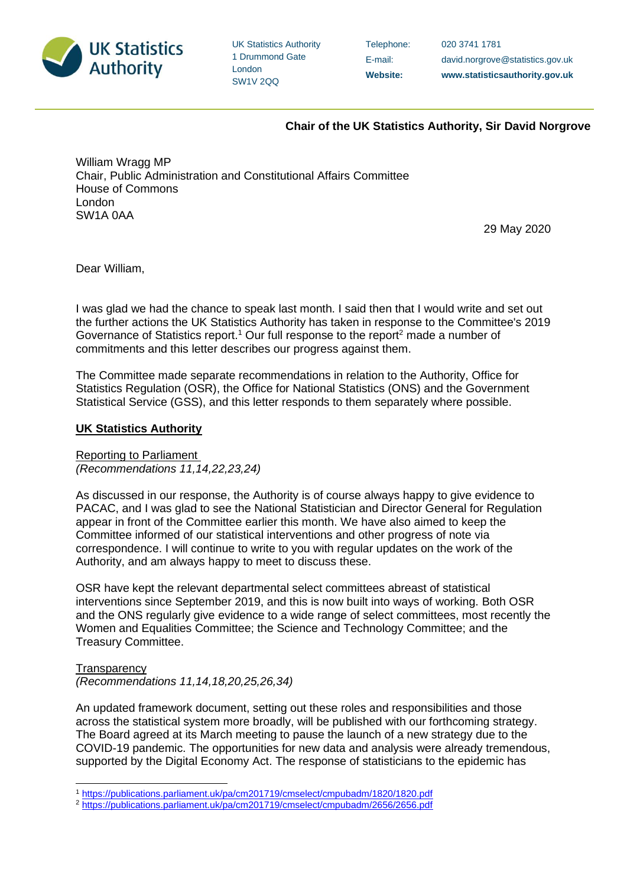

UK Statistics Authority 1 Drummond Gate London SW1V 2QQ

Telephone: 020 3741 1781

E-mail: david.norgrove@statistics.gov.uk **Website: www.statisticsauthority.gov.uk**

## **Chair of the UK Statistics Authority, Sir David Norgrove**

William Wragg MP Chair, Public Administration and Constitutional Affairs Committee House of Commons London SW1A 0AA

29 May 2020

Dear William,

I was glad we had the chance to speak last month. I said then that I would write and set out the further actions the UK Statistics Authority has taken in response to the Committee's 2019 Governance of Statistics report.<sup>1</sup> Our full response to the report<sup>2</sup> made a number of commitments and this letter describes our progress against them.

The Committee made separate recommendations in relation to the Authority, Office for Statistics Regulation (OSR), the Office for National Statistics (ONS) and the Government Statistical Service (GSS), and this letter responds to them separately where possible.

## **UK Statistics Authority**

Reporting to Parliament *(Recommendations 11,14,22,23,24)* 

As discussed in our response, the Authority is of course always happy to give evidence to PACAC, and I was glad to see the National Statistician and Director General for Regulation appear in front of the Committee earlier this month. We have also aimed to keep the Committee informed of our statistical interventions and other progress of note via correspondence. I will continue to write to you with regular updates on the work of the Authority, and am always happy to meet to discuss these.

OSR have kept the relevant departmental select committees abreast of statistical interventions since September 2019, and this is now built into ways of working. Both OSR and the ONS regularly give evidence to a wide range of select committees, most recently the Women and Equalities Committee; the Science and Technology Committee; and the Treasury Committee.

**Transparency** 

*(Recommendations 11,14,18,20,25,26,34)*

An updated framework document, setting out these roles and responsibilities and those across the statistical system more broadly, will be published with our forthcoming strategy. The Board agreed at its March meeting to pause the launch of a new strategy due to the COVID-19 pandemic. The opportunities for new data and analysis were already tremendous, supported by the Digital Economy Act. The response of statisticians to the epidemic has

<sup>1</sup> <https://publications.parliament.uk/pa/cm201719/cmselect/cmpubadm/1820/1820.pdf>

<sup>2</sup> <https://publications.parliament.uk/pa/cm201719/cmselect/cmpubadm/2656/2656.pdf>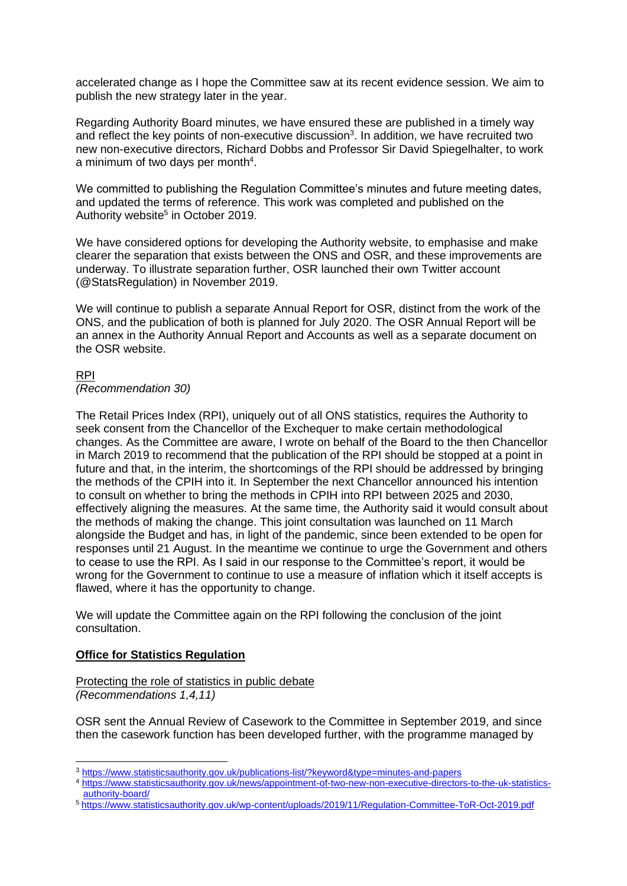accelerated change as I hope the Committee saw at its recent evidence session. We aim to publish the new strategy later in the year.

Regarding Authority Board minutes, we have ensured these are published in a timely way and reflect the key points of non-executive discussion<sup>3</sup>. In addition, we have recruited two new non-executive directors, Richard Dobbs and Professor Sir David Spiegelhalter, to work a minimum of two days per month<sup>4</sup>.

We committed to publishing the Regulation Committee's minutes and future meeting dates, and updated the terms of reference. This work was completed and published on the Authority website<sup>5</sup> in October 2019.

We have considered options for developing the Authority website, to emphasise and make clearer the separation that exists between the ONS and OSR, and these improvements are underway. To illustrate separation further, OSR launched their own Twitter account (@StatsRegulation) in November 2019.

We will continue to publish a separate Annual Report for OSR, distinct from the work of the ONS, and the publication of both is planned for July 2020. The OSR Annual Report will be an annex in the Authority Annual Report and Accounts as well as a separate document on the OSR website.

# RPI

*(Recommendation 30)*

The Retail Prices Index (RPI), uniquely out of all ONS statistics, requires the Authority to seek consent from the Chancellor of the Exchequer to make certain methodological changes. As the Committee are aware, I wrote on behalf of the Board to the then Chancellor in March 2019 to recommend that the publication of the RPI should be stopped at a point in future and that, in the interim, the shortcomings of the RPI should be addressed by bringing the methods of the CPIH into it. In September the next Chancellor announced his intention to consult on whether to bring the methods in CPIH into RPI between 2025 and 2030, effectively aligning the measures. At the same time, the Authority said it would consult about the methods of making the change. This joint consultation was launched on 11 March alongside the Budget and has, in light of the pandemic, since been extended to be open for responses until 21 August. In the meantime we continue to urge the Government and others to cease to use the RPI. As I said in our response to the Committee's report, it would be wrong for the Government to continue to use a measure of inflation which it itself accepts is flawed, where it has the opportunity to change.

We will update the Committee again on the RPI following the conclusion of the joint consultation.

## **Office for Statistics Regulation**

Protecting the role of statistics in public debate *(Recommendations 1,4,11)*

OSR sent the Annual Review of Casework to the Committee in September 2019, and since then the casework function has been developed further, with the programme managed by

<sup>3</sup> <https://www.statisticsauthority.gov.uk/publications-list/?keyword&type=minutes-and-papers>

<sup>4</sup> [https://www.statisticsauthority.gov.uk/news/appointment-of-two-new-non-executive-directors-to-the-uk-statistics](https://www.statisticsauthority.gov.uk/news/appointment-of-two-new-non-executive-directors-to-the-uk-statistics-authority-board/)[authority-board/](https://www.statisticsauthority.gov.uk/news/appointment-of-two-new-non-executive-directors-to-the-uk-statistics-authority-board/)

<sup>5</sup> <https://www.statisticsauthority.gov.uk/wp-content/uploads/2019/11/Regulation-Committee-ToR-Oct-2019.pdf>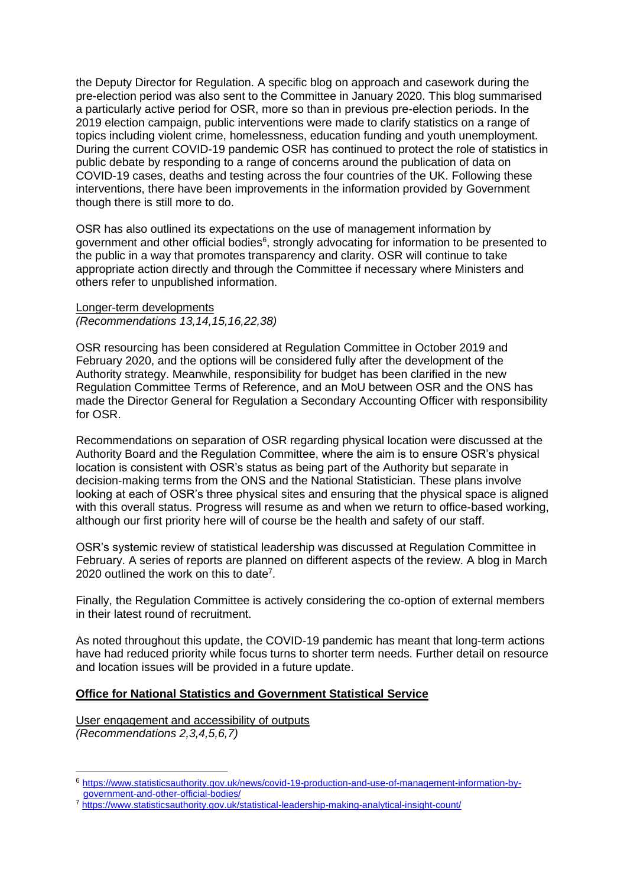the Deputy Director for Regulation. A specific blog on approach and casework during the pre-election period was also sent to the Committee in January 2020. This blog summarised a particularly active period for OSR, more so than in previous pre-election periods. In the 2019 election campaign, public interventions were made to clarify statistics on a range of topics including violent crime, homelessness, education funding and youth unemployment. During the current COVID-19 pandemic OSR has continued to protect the role of statistics in public debate by responding to a range of concerns around the publication of data on COVID-19 cases, deaths and testing across the four countries of the UK. Following these interventions, there have been improvements in the information provided by Government though there is still more to do.

OSR has also outlined its expectations on the use of management information by government and other official bodies<sup>6</sup>, strongly advocating for information to be presented to the public in a way that promotes transparency and clarity. OSR will continue to take appropriate action directly and through the Committee if necessary where Ministers and others refer to unpublished information.

Longer-term developments *(Recommendations 13,14,15,16,22,38)*

OSR resourcing has been considered at Regulation Committee in October 2019 and February 2020, and the options will be considered fully after the development of the Authority strategy. Meanwhile, responsibility for budget has been clarified in the new Regulation Committee Terms of Reference, and an MoU between OSR and the ONS has made the Director General for Regulation a Secondary Accounting Officer with responsibility for OSR.

Recommendations on separation of OSR regarding physical location were discussed at the Authority Board and the Regulation Committee, where the aim is to ensure OSR's physical location is consistent with OSR's status as being part of the Authority but separate in decision-making terms from the ONS and the National Statistician. These plans involve looking at each of OSR's three physical sites and ensuring that the physical space is aligned with this overall status. Progress will resume as and when we return to office-based working, although our first priority here will of course be the health and safety of our staff.

OSR's systemic review of statistical leadership was discussed at Regulation Committee in February. A series of reports are planned on different aspects of the review. A blog in March 2020 outlined the work on this to date<sup>7</sup>.

Finally, the Regulation Committee is actively considering the co-option of external members in their latest round of recruitment.

As noted throughout this update, the COVID-19 pandemic has meant that long-term actions have had reduced priority while focus turns to shorter term needs. Further detail on resource and location issues will be provided in a future update.

#### **Office for National Statistics and Government Statistical Service**

User engagement and accessibility of outputs *(Recommendations 2,3,4,5,6,7)*

<sup>6</sup> [https://www.statisticsauthority.gov.uk/news/covid-19-production-and-use-of-management-information-by](https://www.statisticsauthority.gov.uk/news/covid-19-production-and-use-of-management-information-by-government-and-other-official-bodies/)[government-and-other-official-bodies/](https://www.statisticsauthority.gov.uk/news/covid-19-production-and-use-of-management-information-by-government-and-other-official-bodies/)

<sup>7</sup> <https://www.statisticsauthority.gov.uk/statistical-leadership-making-analytical-insight-count/>